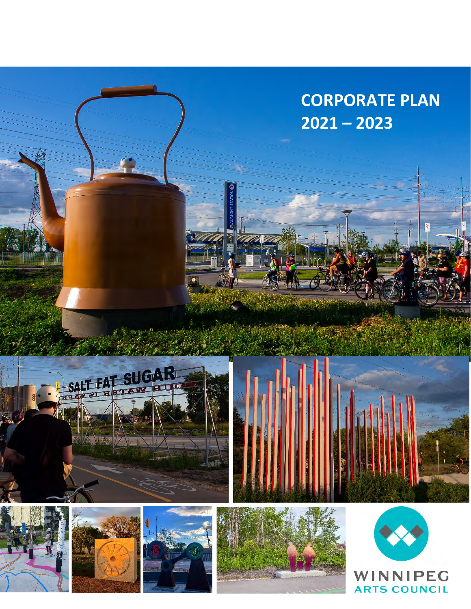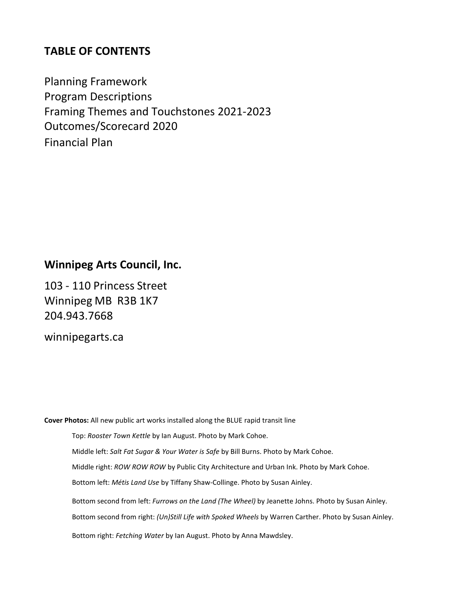# **TABLE OF CONTENTS**

Planning Framework Program Descriptions Framing Themes and Touchstones 2021-2023 Outcomes/Scorecard 2020 Financial Plan

# **Winnipeg Arts Council, Inc.**

103 - 110 Princess Street Winnipeg MB R3B 1K7 204.943.7668

[winnipegarts.ca](mailto:info@winnipegarts.ca)

**Cover Photos:** All new public art works installed along the BLUE rapid transit line

Top: *Rooster Town Kettle* by Ian August. Photo by Mark Cohoe.

Middle left: *Salt Fat Sugar & Your Water is Safe* by Bill Burns. Photo by Mark Cohoe.

Middle right: *ROW ROW ROW* by Public City Architecture and Urban Ink. Photo by Mark Cohoe.

Bottom left: *Métis Land Use* by Tiffany Shaw-Collinge. Photo by Susan Ainley.

Bottom second from left: *Furrows on the Land (The Wheel)* by Jeanette Johns. Photo by Susan Ainley.

Bottom second from right: *(Un)Still Life with Spoked Wheels* by Warren Carther. Photo by Susan Ainley.

Bottom right: *Fetching Water* by Ian August. Photo by Anna Mawdsley.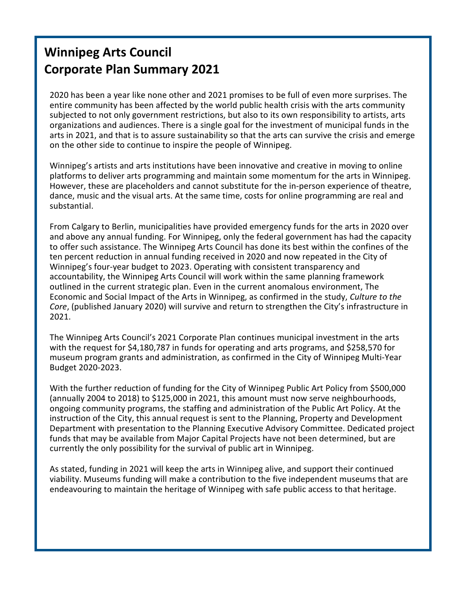# **Winnipeg Arts Council Corporate Plan Summary 2021**

2020 has been a year like none other and 2021 promises to be full of even more surprises. The entire community has been affected by the world public health crisis with the arts community subjected to not only government restrictions, but also to its own responsibility to artists, arts organizations and audiences. There is a single goal for the investment of municipal funds in the arts in 2021, and that is to assure sustainability so that the arts can survive the crisis and emerge on the other side to continue to inspire the people of Winnipeg.

Winnipeg's artists and arts institutions have been innovative and creative in moving to online platforms to deliver arts programming and maintain some momentum for the arts in Winnipeg. However, these are placeholders and cannot substitute for the in-person experience of theatre, dance, music and the visual arts. At the same time, costs for online programming are real and substantial.

From Calgary to Berlin, municipalities have provided emergency funds for the arts in 2020 over and above any annual funding. For Winnipeg, only the federal government has had the capacity to offer such assistance. The Winnipeg Arts Council has done its best within the confines of the ten percent reduction in annual funding received in 2020 and now repeated in the City of Winnipeg's four-year budget to 2023. Operating with consistent transparency and accountability, the Winnipeg Arts Council will work within the same planning framework outlined in the current strategic plan. Even in the current anomalous environment, The Economic and Social Impact of the Arts in Winnipeg, as confirmed in the study, *Culture to the Core*, (published January 2020) will survive and return to strengthen the City's infrastructure in 2021.

The Winnipeg Arts Council's 2021 Corporate Plan continues municipal investment in the arts with the request for \$4,180,787 in funds for operating and arts programs, and \$258,570 for museum program grants and administration, as confirmed in the City of Winnipeg Multi-Year Budget 2020-2023.

With the further reduction of funding for the City of Winnipeg Public Art Policy from \$500,000 (annually 2004 to 2018) to \$125,000 in 2021, this amount must now serve neighbourhoods, ongoing community programs, the staffing and administration of the Public Art Policy. At the instruction of the City, this annual request is sent to the Planning, Property and Development Department with presentation to the Planning Executive Advisory Committee. Dedicated project funds that may be available from Major Capital Projects have not been determined, but are currently the only possibility for the survival of public art in Winnipeg.

As stated, funding in 2021 will keep the arts in Winnipeg alive, and support their continued viability. Museums funding will make a contribution to the five independent museums that are endeavouring to maintain the heritage of Winnipeg with safe public access to that heritage.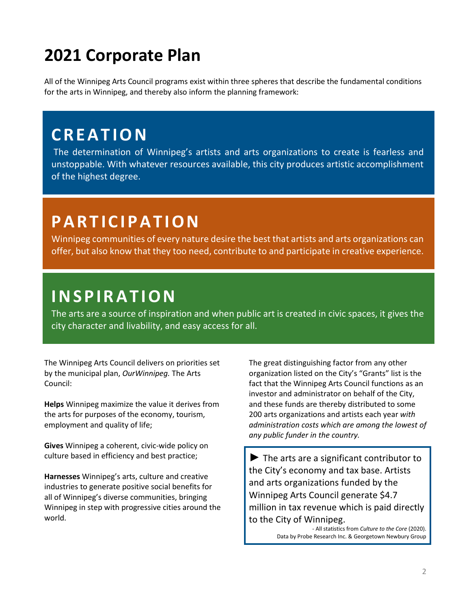# **2021 Corporate Plan**

All of the Winnipeg Arts Council programs exist within three spheres that describe the fundamental conditions for the arts in Winnipeg, and thereby also inform the planning framework:

# **CREATION**

The determination of Winnipeg's artists and arts organizations to create is fearless and unstoppable. With whatever resources available, this city produces artistic accomplishment of the highest degree.

# **PARTICIPATION**

Winnipeg communities of every nature desire the best that artists and arts organizations can offer, but also know that they too need, contribute to and participate in creative experience.

**INSPIRATION**<br>The arts are a source of inspiration and when public art is created in civic spaces, it gives the city character and livability, and easy access for all.

The Winnipeg Arts Council delivers on priorities set by the municipal plan, *OurWinnipeg.* The Arts Council:

**Helps** Winnipeg maximize the value it derives from the arts for purposes of the economy, tourism, employment and quality of life;

**Gives** Winnipeg a coherent, civic-wide policy on culture based in efficiency and best practice;

**Harnesses** Winnipeg's arts, culture and creative industries to generate positive social benefits for all of Winnipeg's diverse communities, bringing Winnipeg in step with progressive cities around the world.

The great distinguishing factor from any other organization listed on the City's "Grants" list is the fact that the Winnipeg Arts Council functions as an investor and administrator on behalf of the City, and these funds are thereby distributed to some 200 arts organizations and artists each year *with administration costs which are among the lowest of any public funder in the country.*

 $\blacktriangleright$  The arts are a significant contributor to the City's economy and tax base. Artists and arts organizations funded by the Winnipeg Arts Council generate \$4.7 million in tax revenue which is paid directly to the City of Winnipeg.

> *-* All statistics from *Culture to the Core* (2020). Data by Probe Research Inc. & Georgetown Newbury Group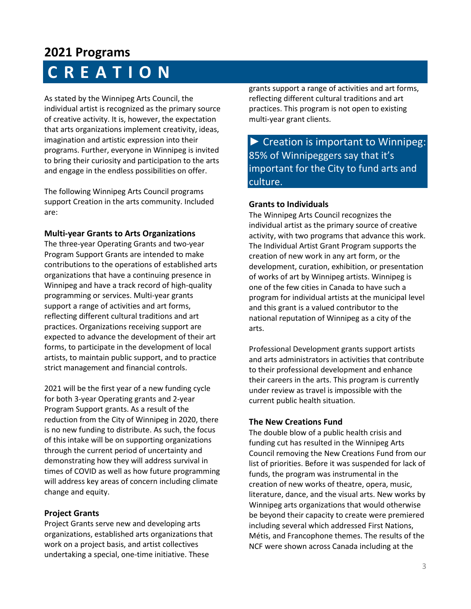# **2021 Programs CREATION**

As stated by the Winnipeg Arts Council, the individual artist is recognized as the primary source of creative activity. It is, however, the expectation that arts organizations implement creativity, ideas, imagination and artistic expression into their programs. Further, everyone in Winnipeg is invited to bring their curiosity and participation to the arts and engage in the endless possibilities on offer.

The following Winnipeg Arts Council programs support Creation in the arts community. Included are:

# **Multi-year Grants to Arts Organizations**

The three-year Operating Grants and two-year Program Support Grants are intended to make contributions to the operations of established arts organizations that have a continuing presence in Winnipeg and have a track record of high-quality programming or services. Multi-year grants support a range of activities and art forms, reflecting different cultural traditions and art practices. Organizations receiving support are expected to advance the development of their art forms, to participate in the development of local artists, to maintain public support, and to practice strict management and financial controls.

2021 will be the first year of a new funding cycle for both 3-year Operating grants and 2-year Program Support grants. As a result of the reduction from the City of Winnipeg in 2020, there is no new funding to distribute. As such, the focus of this intake will be on supporting organizations through the current period of uncertainty and demonstrating how they will address survival in times of COVID as well as how future programming will address key areas of concern including climate change and equity.

# **Project Grants**

Project Grants serve new and developing arts organizations, established arts organizations that work on a project basis, and artist collectives undertaking a special, one-time initiative. These

grants support a range of activities and art forms, reflecting different cultural traditions and art practices. This program is not open to existing multi-year grant clients.

► Creation is important to Winnipeg: 85% of Winnipeggers say that it's important for the City to fund arts and culture.

# **Grants to Individuals**

The Winnipeg Arts Council recognizes the individual artist as the primary source of creative activity, with two programs that advance this work. The Individual Artist Grant Program supports the creation of new work in any art form, or the development, curation, exhibition, or presentation of works of art by Winnipeg artists. Winnipeg is one of the few cities in Canada to have such a program for individual artists at the municipal level and this grant is a valued contributor to the national reputation of Winnipeg as a city of the arts.

Professional Development grants support artists and arts administrators in activities that contribute to their professional development and enhance their careers in the arts. This program is currently under review as travel is impossible with the current public health situation.

# **The New Creations Fund**

The double blow of a public health crisis and funding cut has resulted in the Winnipeg Arts Council removing the New Creations Fund from our list of priorities. Before it was suspended for lack of funds, the program was instrumental in the creation of new works of theatre, opera, music, literature, dance, and the visual arts. New works by Winnipeg arts organizations that would otherwise be beyond their capacity to create were premiered including several which addressed First Nations, Métis, and Francophone themes. The results of the NCF were shown across Canada including at the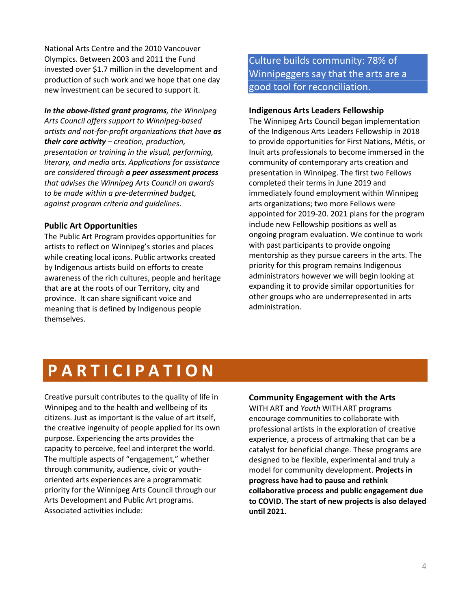National Arts Centre and the 2010 Vancouver Olympics. Between 2003 and 2011 the Fund invested over \$1.7 million in the development and production of such work and we hope that one day new investment can be secured to support it.

*In the above-listed grant programs, the Winnipeg Arts Council offers support to Winnipeg-based artists and not-for-profit organizations that have as their core activity – creation, production, presentation or training in the visual, performing, literary, and media arts. Applications for assistance are considered through a peer assessment process that advises the Winnipeg Arts Council on awards to be made within a pre-determined budget, against program criteria and guidelines*.

## **Public Art Opportunities**

The Public Art Program provides opportunities for artists to reflect on Winnipeg's stories and places while creating local icons. Public artworks created by Indigenous artists build on efforts to create awareness of the rich cultures, people and heritage that are at the roots of our Territory, city and province. It can share significant voice and meaning that is defined by Indigenous people themselves.

Culture builds community: 78% of Winnipeggers say that the arts are a good tool for reconciliation.

#### **Indigenous Arts Leaders Fellowship**

The Winnipeg Arts Council began implementation of the Indigenous Arts Leaders Fellowship in 2018 to provide opportunities for First Nations, Métis, or Inuit arts professionals to become immersed in the community of contemporary arts creation and presentation in Winnipeg. The first two Fellows completed their terms in June 2019 and immediately found employment within Winnipeg arts organizations; two more Fellows were appointed for 2019-20. 2021 plans for the program include new Fellowship positions as well as ongoing program evaluation. We continue to work with past participants to provide ongoing mentorship as they pursue careers in the arts. The priority for this program remains Indigenous administrators however we will begin looking at expanding it to provide similar opportunities for other groups who are underrepresented in arts administration.

# **PARTICIPATION**

Creative pursuit contributes to the quality of life in Winnipeg and to the health and wellbeing of its citizens. Just as important is the value of art itself, the creative ingenuity of people applied for its own purpose. Experiencing the arts provides the capacity to perceive, feel and interpret the world. The multiple aspects of "engagement," whether through community, audience, civic or youthoriented arts experiences are a programmatic priority for the Winnipeg Arts Council through our Arts Development and Public Art programs. Associated activities include:

### **Community Engagement with the Arts**

WITH ART and *Youth* WITH ART programs encourage communities to collaborate with professional artists in the exploration of creative experience, a process of artmaking that can be a catalyst for beneficial change. These programs are designed to be flexible, experimental and truly a model for community development. **Projects in progress have had to pause and rethink collaborative process and public engagement due to COVID. The start of new projects is also delayed until 2021.**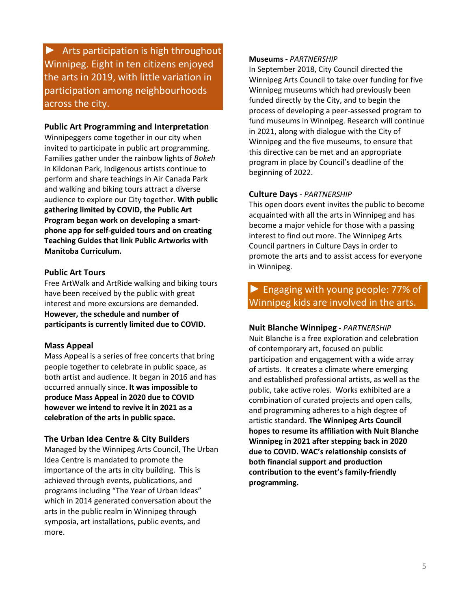► Arts participation is high throughout Winnipeg. Eight in ten citizens enjoyed the arts in 2019, with little variation in participation among neighbourhoods across the city.

### **Public Art Programming and Interpretation**

Winnipeggers come together in our city when invited to participate in public art programming. Families gather under the rainbow lights of *Bokeh*  in Kildonan Park, Indigenous artists continue to perform and share teachings in Air Canada Park and walking and biking tours attract a diverse audience to explore our City together. **With public gathering limited by COVID, the Public Art Program began work on developing a smartphone app for self-guided tours and on creating Teaching Guides that link Public Artworks with Manitoba Curriculum.**

### **Public Art Tours**

Free ArtWalk and ArtRide walking and biking tours have been received by the public with great interest and more excursions are demanded. **However, the schedule and number of participants is currently limited due to COVID.**

#### **Mass Appeal**

Mass Appeal is a series of free concerts that bring people together to celebrate in public space, as both artist and audience. It began in 2016 and has occurred annually since. **It was impossible to produce Mass Appeal in 2020 due to COVID however we intend to revive it in 2021 as a celebration of the arts in public space.**

#### **The Urban Idea Centre & City Builders**

Managed by the Winnipeg Arts Council, The Urban Idea Centre is mandated to promote the importance of the arts in city building. This is achieved through events, publications, and programs including "The Year of Urban Ideas" which in 2014 generated conversation about the arts in the public realm in Winnipeg through symposia, art installations, public events, and more.

#### **Museums -** *PARTNERSHIP*

In September 2018, City Council directed the Winnipeg Arts Council to take over funding for five Winnipeg museums which had previously been funded directly by the City, and to begin the process of developing a peer-assessed program to fund museums in Winnipeg. Research will continue in 2021, along with dialogue with the City of Winnipeg and the five museums, to ensure that this directive can be met and an appropriate program in place by Council's deadline of the beginning of 2022.

#### **Culture Days -** *PARTNERSHIP*

This open doors event invites the public to become acquainted with all the arts in Winnipeg and has become a major vehicle for those with a passing interest to find out more. The Winnipeg Arts Council partners in Culture Days in order to promote the arts and to assist access for everyone in Winnipeg.

# **►** Engaging with young people: 77% of Winnipeg kids are involved in the arts.

#### **Nuit Blanche Winnipeg -** *PARTNERSHIP*

Nuit Blanche is a free exploration and celebration of contemporary art, focused on public participation and engagement with a wide array of artists. It creates a climate where emerging and established professional artists, as well as the public, take active roles. Works exhibited are a combination of curated projects and open calls, and programming adheres to a high degree of artistic standard. **The Winnipeg Arts Council hopes to resume its affiliation with Nuit Blanche Winnipeg in 2021 after stepping back in 2020 due to COVID. WAC's relationship consists of both financial support and production contribution to the event's family-friendly programming.**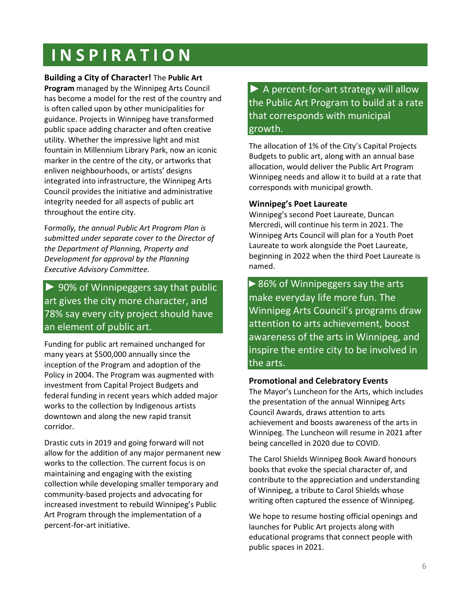# **INSPIRATION**

**Building a City of Character!** The **Public Art** 

**Program** managed by the Winnipeg Arts Council has become a model for the rest of the country and is often called upon by other municipalities for guidance. Projects in Winnipeg have transformed public space adding character and often creative utility. Whether the impressive light and mist fountain in Millennium Library Park, now an iconic marker in the centre of the city, or artworks that enliven neighbourhoods, or artists' designs integrated into infrastructure, the Winnipeg Arts Council provides the initiative and administrative integrity needed for all aspects of public art throughout the entire city.

F*ormally, the annual Public Art Program Plan is submitted under separate cover to the Director of the Department of Planning, Property and Development for approval by the Planning Executive Advisory Committee.* 

# $\triangleright$  90% of Winnipeggers say that public art gives the city more character, and 78% say every city project should have an element of public art.

Funding for public art remained unchanged for many years at \$500,000 annually since the inception of the Program and adoption of the Policy in 2004. The Program was augmented with investment from Capital Project Budgets and federal funding in recent years which added major works to the collection by Indigenous artists downtown and along the new rapid transit corridor.

Drastic cuts in 2019 and going forward will not allow for the addition of any major permanent new works to the collection. The current focus is on maintaining and engaging with the existing collection while developing smaller temporary and community-based projects and advocating for increased investment to rebuild Winnipeg's Public Art Program through the implementation of a percent-for-art initiative.

► A percent-for-art strategy will allow the Public Art Program to build at a rate that corresponds with municipal growth.

The allocation of 1% of the City's Capital Projects Budgets to public art, along with an annual base allocation, would deliver the Public Art Program Winnipeg needs and allow it to build at a rate that corresponds with municipal growth.

# **Winnipeg's Poet Laureate**

Winnipeg's second Poet Laureate, Duncan Mercredi, will continue his term in 2021. The Winnipeg Arts Council will plan for a Youth Poet Laureate to work alongside the Poet Laureate, beginning in 2022 when the third Poet Laureate is named.

► 86% of Winnipeggers say the arts make everyday life more fun. The Winnipeg Arts Council's programs draw attention to arts achievement, boost awareness of the arts in Winnipeg, and inspire the entire city to be involved in the arts.

# **Promotional and Celebratory Events**

The Mayor's Luncheon for the Arts, which includes the presentation of the annual Winnipeg Arts Council Awards, draws attention to arts achievement and boosts awareness of the arts in Winnipeg. The Luncheon will resume in 2021 after being cancelled in 2020 due to COVID.

The Carol Shields Winnipeg Book Award honours books that evoke the special character of, and contribute to the appreciation and understanding of Winnipeg, a tribute to Carol Shields whose writing often captured the essence of Winnipeg.

We hope to resume hosting official openings and launches for Public Art projects along with educational programs that connect people with public spaces in 2021.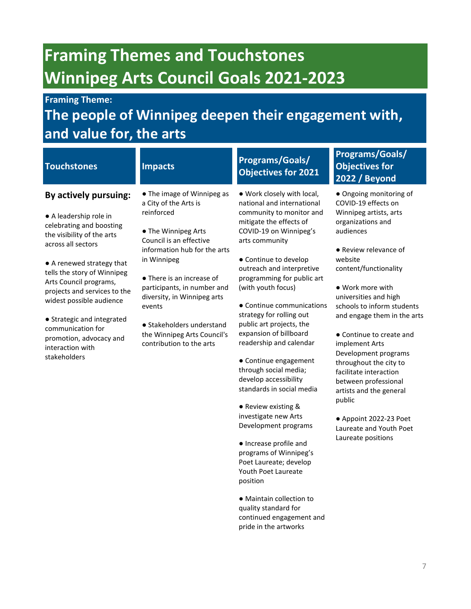# **Framing Themes and Touchstones Winnipeg Arts Council Goals 2021-2023**

# **Framing Theme:**

# **The people of Winnipeg deepen their engagement with, and value for, the arts**

| <b>Touchstones</b>                                                                                                                                                                                                                                                                                                                                                                                  | <b>Impacts</b>                                                                                                                                                                                                                                                                                                                                                  | <b>Programs/Goals/</b><br><b>Objectives for 2021</b>                                                                                                                                                                                                                                                                                                                                                                                                                                                                                                                                                                                                                                                                                        | <b>Programs/Goals/</b><br><b>Objectives for</b><br><b>2022 / Beyond</b>                                                                                                                                                                                                                                                                                                                                                                                                                                                                             |
|-----------------------------------------------------------------------------------------------------------------------------------------------------------------------------------------------------------------------------------------------------------------------------------------------------------------------------------------------------------------------------------------------------|-----------------------------------------------------------------------------------------------------------------------------------------------------------------------------------------------------------------------------------------------------------------------------------------------------------------------------------------------------------------|---------------------------------------------------------------------------------------------------------------------------------------------------------------------------------------------------------------------------------------------------------------------------------------------------------------------------------------------------------------------------------------------------------------------------------------------------------------------------------------------------------------------------------------------------------------------------------------------------------------------------------------------------------------------------------------------------------------------------------------------|-----------------------------------------------------------------------------------------------------------------------------------------------------------------------------------------------------------------------------------------------------------------------------------------------------------------------------------------------------------------------------------------------------------------------------------------------------------------------------------------------------------------------------------------------------|
| By actively pursuing:<br>• A leadership role in<br>celebrating and boosting<br>the visibility of the arts<br>across all sectors<br>• A renewed strategy that<br>tells the story of Winnipeg<br>Arts Council programs,<br>projects and services to the<br>widest possible audience<br>• Strategic and integrated<br>communication for<br>promotion, advocacy and<br>interaction with<br>stakeholders | • The image of Winnipeg as<br>a City of the Arts is<br>reinforced<br>• The Winnipeg Arts<br>Council is an effective<br>information hub for the arts<br>in Winnipeg<br>• There is an increase of<br>participants, in number and<br>diversity, in Winnipeg arts<br>events<br>• Stakeholders understand<br>the Winnipeg Arts Council's<br>contribution to the arts | . Work closely with local,<br>national and international<br>community to monitor and<br>mitigate the effects of<br>COVID-19 on Winnipeg's<br>arts community<br>• Continue to develop<br>outreach and interpretive<br>programming for public art<br>(with youth focus)<br>• Continue communications<br>strategy for rolling out<br>public art projects, the<br>expansion of billboard<br>readership and calendar<br>• Continue engagement<br>through social media;<br>develop accessibility<br>standards in social media<br>• Review existing &<br>investigate new Arts<br>Development programs<br>• Increase profile and<br>programs of Winnipeg's<br>Poet Laureate; develop<br>Youth Poet Laureate<br>position<br>• Maintain collection to | • Ongoing monitoring of<br>COVID-19 effects on<br>Winnipeg artists, arts<br>organizations and<br>audiences<br>• Review relevance of<br>website<br>content/functionality<br>• Work more with<br>universities and high<br>schools to inform students<br>and engage them in the arts<br>• Continue to create and<br>implement Arts<br>Development programs<br>throughout the city to<br>facilitate interaction<br>between professional<br>artists and the general<br>public<br>• Appoint 2022-23 Poet<br>Laureate and Youth Poet<br>Laureate positions |
|                                                                                                                                                                                                                                                                                                                                                                                                     |                                                                                                                                                                                                                                                                                                                                                                 | quality standard for                                                                                                                                                                                                                                                                                                                                                                                                                                                                                                                                                                                                                                                                                                                        |                                                                                                                                                                                                                                                                                                                                                                                                                                                                                                                                                     |

continued engagement and pride in the artworks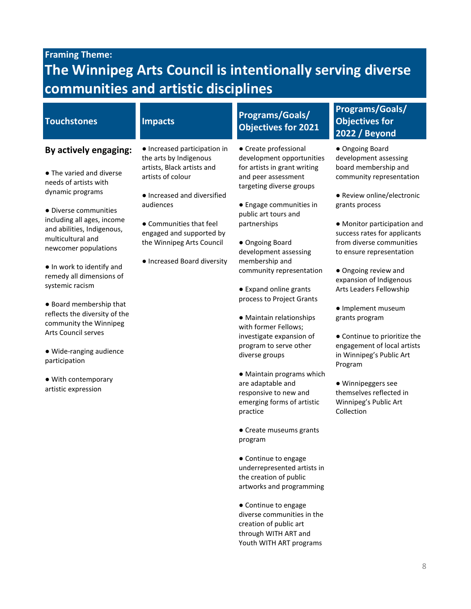# **Framing Theme:**

# **The Winnipeg Arts Council is intentionally serving diverse communities and artistic disciplines**

# **By actively engaging:**

- The varied and diverse needs of artists with dynamic programs
- Diverse communities including all ages, income and abilities, Indigenous, multicultural and newcomer populations
- In work to identify and remedy all dimensions of systemic racism
- Board membership that reflects the diversity of the community the Winnipeg Arts Council serves
- Wide-ranging audience participation
- With contemporary artistic expression
- Increased participation in the arts by Indigenous artists, Black artists and artists of colour
- Increased and diversified audiences
- Communities that feel engaged and supported by the Winnipeg Arts Council
- Increased Board diversity

# **Touchstones Impacts Programs/Goals/ Objectives for 2021**

- Create professional development opportunities for artists in grant writing and peer assessment targeting diverse groups
- Engage communities in public art tours and partnerships
- Ongoing Board development assessing membership and community representation
- Expand online grants process to Project Grants
- Maintain relationships with former Fellows; investigate expansion of program to serve other diverse groups
- Maintain programs which are adaptable and responsive to new and emerging forms of artistic practice
- Create museums grants program
- Continue to engage underrepresented artists in the creation of public artworks and programming
- Continue to engage diverse communities in the creation of public art through WITH ART and Youth WITH ART programs

# **Programs/Goals/ Objectives for 2022 / Beyond**

- Ongoing Board development assessing board membership and community representation
- Review online/electronic grants process
- Monitor participation and success rates for applicants from diverse communities to ensure representation
- Ongoing review and expansion of Indigenous Arts Leaders Fellowship
- Implement museum grants program
- Continue to prioritize the engagement of local artists in Winnipeg's Public Art Program
- Winnipeggers see themselves reflected in Winnipeg's Public Art Collection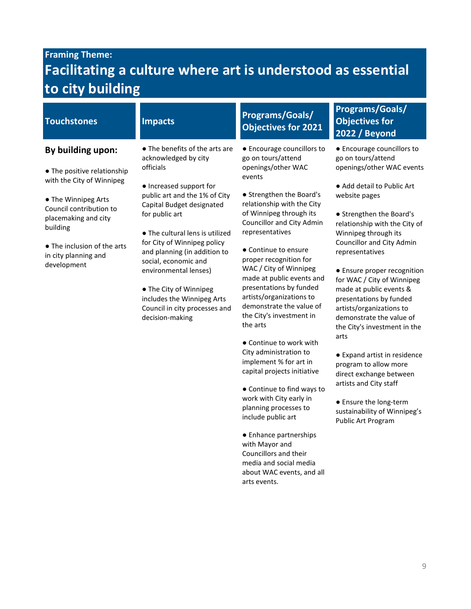# **Framing Theme: Facilitating a culture where art is understood as essential to city building**

# **By building upon:**

- The positive relationship with the City of Winnipeg
- The Winnipeg Arts Council contribution to placemaking and city building
- The inclusion of the arts in city planning and development
- The benefits of the arts are acknowledged by city officials
- Increased support for public art and the 1% of City Capital Budget designated for public art
- The cultural lens is utilized for City of Winnipeg policy and planning (in addition to social, economic and environmental lenses)
- The City of Winnipeg includes the Winnipeg Arts Council in city processes and decision-making

# **Touchstones Impacts Programs/Goals/ Objectives for 2021**

- Encourage councillors to go on tours/attend openings/other WAC events
- Strengthen the Board's relationship with the City of Winnipeg through its Councillor and City Admin representatives
- Continue to ensure proper recognition for WAC / City of Winnipeg made at public events and presentations by funded artists/organizations to demonstrate the value of the City's investment in the arts
- Continue to work with City administration to implement % for art in capital projects initiative
- Continue to find ways to work with City early in planning processes to include public art
- Enhance partnerships with Mayor and Councillors and their media and social media about WAC events, and all arts events.

# **Programs/Goals/ Objectives for 2022 / Beyond**

- Encourage councillors to go on tours/attend openings/other WAC events
- Add detail to Public Art website pages
- Strengthen the Board's relationship with the City of Winnipeg through its Councillor and City Admin representatives
- Ensure proper recognition for WAC / City of Winnipeg made at public events & presentations by funded artists/organizations to demonstrate the value of the City's investment in the arts
- Expand artist in residence program to allow more direct exchange between artists and City staff
- Ensure the long-term sustainability of Winnipeg's Public Art Program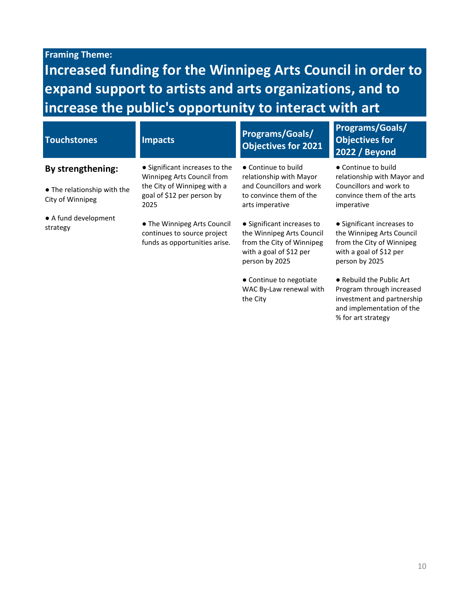# **Framing Theme:**

**Increased funding for the Winnipeg Arts Council in order to expand support to artists and arts organizations, and to increase the public's opportunity to interact with art**

| <b>Touchstones</b>                              | <b>Impacts</b>                                                                              | <b>Programs/Goals/</b><br><b>Objectives for 2021</b>                                                                              | <b>Programs/Goals/</b><br><b>Objectives for</b><br><b>2022 / Beyond</b>                                                           |  |
|-------------------------------------------------|---------------------------------------------------------------------------------------------|-----------------------------------------------------------------------------------------------------------------------------------|-----------------------------------------------------------------------------------------------------------------------------------|--|
| By strengthening:                               | • Significant increases to the<br>Winnipeg Arts Council from                                | • Continue to build<br>relationship with Mayor                                                                                    | • Continue to build<br>relationship with Mayor and                                                                                |  |
| • The relationship with the<br>City of Winnipeg | the City of Winnipeg with a<br>goal of \$12 per person by<br>2025                           | and Councillors and work<br>to convince them of the<br>arts imperative                                                            | Councillors and work to<br>convince them of the arts<br>imperative                                                                |  |
| • A fund development<br>strategy                | • The Winnipeg Arts Council<br>continues to source project<br>funds as opportunities arise. | • Significant increases to<br>the Winnipeg Arts Council<br>from the City of Winnipeg<br>with a goal of \$12 per<br>person by 2025 | • Significant increases to<br>the Winnipeg Arts Council<br>from the City of Winnipeg<br>with a goal of \$12 per<br>person by 2025 |  |
|                                                 |                                                                                             | • Continue to negotiate<br>WAC By-Law renewal with                                                                                | • Rebuild the Public Art<br>Program through increased                                                                             |  |

the City

10

investment and partnership and implementation of the

% for art strategy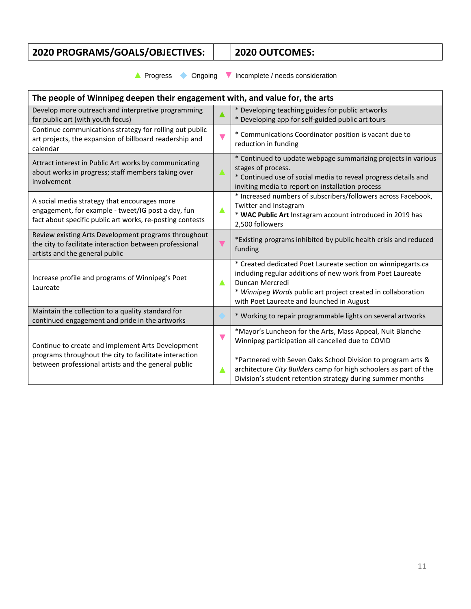# **2020 PROGRAMS/GOALS/OBJECTIVES: 2020 OUTCOMES:**

**▲** Progress◆ Ongoing **▼** Incomplete / needs consideration

| The people of Winnipeg deepen their engagement with, and value for, the arts                                                                                       |                      |                                                                                                                                                                                                                                                            |  |
|--------------------------------------------------------------------------------------------------------------------------------------------------------------------|----------------------|------------------------------------------------------------------------------------------------------------------------------------------------------------------------------------------------------------------------------------------------------------|--|
| Develop more outreach and interpretive programming<br>for public art (with youth focus)                                                                            |                      | * Developing teaching guides for public artworks<br>* Developing app for self-guided public art tours                                                                                                                                                      |  |
| Continue communications strategy for rolling out public<br>art projects, the expansion of billboard readership and<br>calendar                                     | $\blacktriangledown$ | * Communications Coordinator position is vacant due to<br>reduction in funding                                                                                                                                                                             |  |
| Attract interest in Public Art works by communicating<br>about works in progress; staff members taking over<br>involvement                                         | A                    | * Continued to update webpage summarizing projects in various<br>stages of process.<br>* Continued use of social media to reveal progress details and<br>inviting media to report on installation process                                                  |  |
| A social media strategy that encourages more<br>engagement, for example - tweet/IG post a day, fun<br>fact about specific public art works, re-posting contests    |                      | * Increased numbers of subscribers/followers across Facebook,<br>Twitter and Instagram<br>* WAC Public Art Instagram account introduced in 2019 has<br>2,500 followers                                                                                     |  |
| Review existing Arts Development programs throughout<br>the city to facilitate interaction between professional<br>artists and the general public                  | $\blacktriangledown$ | *Existing programs inhibited by public health crisis and reduced<br>funding                                                                                                                                                                                |  |
| Increase profile and programs of Winnipeg's Poet<br>Laureate                                                                                                       |                      | * Created dedicated Poet Laureate section on winnipegarts.ca<br>including regular additions of new work from Poet Laureate<br>Duncan Mercredi<br>* Winnipeg Words public art project created in collaboration<br>with Poet Laureate and launched in August |  |
| Maintain the collection to a quality standard for<br>continued engagement and pride in the artworks                                                                |                      | * Working to repair programmable lights on several artworks                                                                                                                                                                                                |  |
| Continue to create and implement Arts Development<br>programs throughout the city to facilitate interaction<br>between professional artists and the general public |                      | *Mayor's Luncheon for the Arts, Mass Appeal, Nuit Blanche<br>Winnipeg participation all cancelled due to COVID                                                                                                                                             |  |
|                                                                                                                                                                    |                      | *Partnered with Seven Oaks School Division to program arts &<br>architecture City Builders camp for high schoolers as part of the<br>Division's student retention strategy during summer months                                                            |  |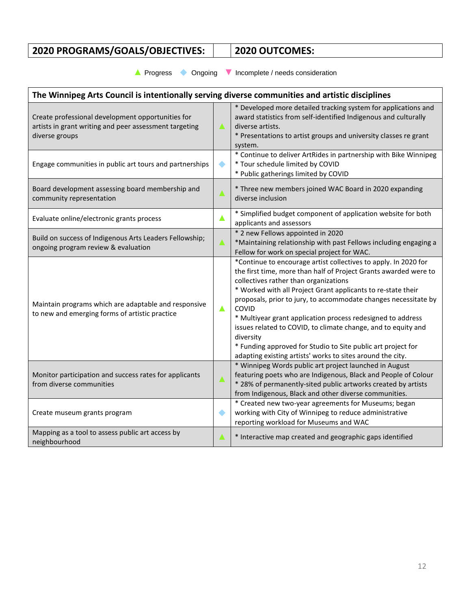# **2020 PROGRAMS/GOALS/OBJECTIVES: 2020 OUTCOMES:**

**▲** Progress◆ Ongoing **▼** Incomplete / needs consideration

| The Winnipeg Arts Council is intentionally serving diverse communities and artistic disciplines                               |   |                                                                                                                                                                                                                                                                                                                                                                                                                                                                                                                                                                                                     |  |
|-------------------------------------------------------------------------------------------------------------------------------|---|-----------------------------------------------------------------------------------------------------------------------------------------------------------------------------------------------------------------------------------------------------------------------------------------------------------------------------------------------------------------------------------------------------------------------------------------------------------------------------------------------------------------------------------------------------------------------------------------------------|--|
| Create professional development opportunities for<br>artists in grant writing and peer assessment targeting<br>diverse groups |   | * Developed more detailed tracking system for applications and<br>award statistics from self-identified Indigenous and culturally<br>diverse artists.<br>* Presentations to artist groups and university classes re grant<br>system.                                                                                                                                                                                                                                                                                                                                                                |  |
| Engage communities in public art tours and partnerships                                                                       |   | * Continue to deliver ArtRides in partnership with Bike Winnipeg<br>* Tour schedule limited by COVID<br>* Public gatherings limited by COVID                                                                                                                                                                                                                                                                                                                                                                                                                                                        |  |
| Board development assessing board membership and<br>community representation                                                  |   | * Three new members joined WAC Board in 2020 expanding<br>diverse inclusion                                                                                                                                                                                                                                                                                                                                                                                                                                                                                                                         |  |
| Evaluate online/electronic grants process                                                                                     |   | * Simplified budget component of application website for both<br>applicants and assessors                                                                                                                                                                                                                                                                                                                                                                                                                                                                                                           |  |
| Build on success of Indigenous Arts Leaders Fellowship;<br>ongoing program review & evaluation                                |   | * 2 new Fellows appointed in 2020<br>*Maintaining relationship with past Fellows including engaging a<br>Fellow for work on special project for WAC.                                                                                                                                                                                                                                                                                                                                                                                                                                                |  |
| Maintain programs which are adaptable and responsive<br>to new and emerging forms of artistic practice                        | Δ | *Continue to encourage artist collectives to apply. In 2020 for<br>the first time, more than half of Project Grants awarded were to<br>collectives rather than organizations<br>* Worked with all Project Grant applicants to re-state their<br>proposals, prior to jury, to accommodate changes necessitate by<br>COVID<br>* Multiyear grant application process redesigned to address<br>issues related to COVID, to climate change, and to equity and<br>diversity<br>* Funding approved for Studio to Site public art project for<br>adapting existing artists' works to sites around the city. |  |
| Monitor participation and success rates for applicants<br>from diverse communities                                            |   | * Winnipeg Words public art project launched in August<br>featuring poets who are Indigenous, Black and People of Colour<br>* 28% of permanently-sited public artworks created by artists<br>from Indigenous, Black and other diverse communities.                                                                                                                                                                                                                                                                                                                                                  |  |
| Create museum grants program                                                                                                  |   | * Created new two-year agreements for Museums; began<br>working with City of Winnipeg to reduce administrative<br>reporting workload for Museums and WAC                                                                                                                                                                                                                                                                                                                                                                                                                                            |  |
| Mapping as a tool to assess public art access by<br>neighbourhood                                                             | Α | * Interactive map created and geographic gaps identified                                                                                                                                                                                                                                                                                                                                                                                                                                                                                                                                            |  |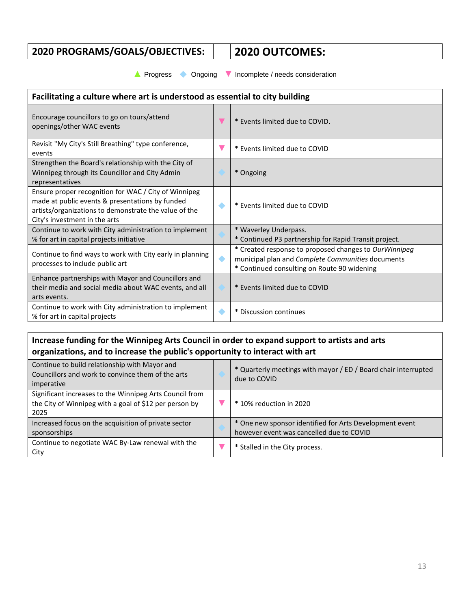# **2020 PROGRAMS/GOALS/OBJECTIVES: 2020 OUTCOMES:**

**▲** Progress◆ Ongoing **▼** Incomplete / needs consideration

| Facilitating a culture where art is understood as essential to city building                                                                                                                      |  |                                                                                                                                                           |  |
|---------------------------------------------------------------------------------------------------------------------------------------------------------------------------------------------------|--|-----------------------------------------------------------------------------------------------------------------------------------------------------------|--|
| Encourage councillors to go on tours/attend<br>openings/other WAC events                                                                                                                          |  | * Events limited due to COVID.                                                                                                                            |  |
| Revisit "My City's Still Breathing" type conference,<br>events                                                                                                                                    |  | * Events limited due to COVID                                                                                                                             |  |
| Strengthen the Board's relationship with the City of<br>Winnipeg through its Councillor and City Admin<br>representatives                                                                         |  | * Ongoing                                                                                                                                                 |  |
| Ensure proper recognition for WAC / City of Winnipeg<br>made at public events & presentations by funded<br>artists/organizations to demonstrate the value of the<br>City's investment in the arts |  | * Events limited due to COVID                                                                                                                             |  |
| Continue to work with City administration to implement<br>% for art in capital projects initiative                                                                                                |  | * Waverley Underpass.<br>* Continued P3 partnership for Rapid Transit project.                                                                            |  |
| Continue to find ways to work with City early in planning<br>processes to include public art                                                                                                      |  | * Created response to proposed changes to OurWinnipeg<br>municipal plan and Complete Communities documents<br>* Continued consulting on Route 90 widening |  |
| Enhance partnerships with Mayor and Councillors and<br>their media and social media about WAC events, and all<br>arts events.                                                                     |  | * Events limited due to COVID                                                                                                                             |  |
| Continue to work with City administration to implement<br>% for art in capital projects                                                                                                           |  | * Discussion continues                                                                                                                                    |  |

# **Increase funding for the Winnipeg Arts Council in order to expand support to artists and arts organizations, and to increase the public's opportunity to interact with art**

| Continue to build relationship with Mayor and<br>Councillors and work to convince them of the arts<br>imperative          | * Quarterly meetings with mayor / ED / Board chair interrupted<br>due to COVID                      |
|---------------------------------------------------------------------------------------------------------------------------|-----------------------------------------------------------------------------------------------------|
| Significant increases to the Winnipeg Arts Council from<br>the City of Winnipeg with a goal of \$12 per person by<br>2025 | * 10% reduction in 2020                                                                             |
| Increased focus on the acquisition of private sector<br>sponsorships                                                      | * One new sponsor identified for Arts Development event<br>however event was cancelled due to COVID |
| Continue to negotiate WAC By-Law renewal with the<br>City                                                                 | * Stalled in the City process.                                                                      |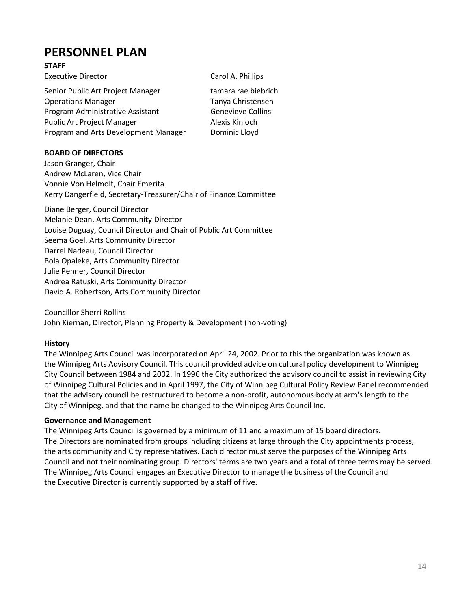# **PERSONNEL PLAN**

## **STAFF**

| <b>Executive Director</b>                                     | Carol A. Phillips                      |
|---------------------------------------------------------------|----------------------------------------|
| Senior Public Art Project Manager                             | tamara rae biebrich                    |
| <b>Operations Manager</b><br>Program Administrative Assistant | Tanya Christensen<br>Genevieve Collins |
| <b>Public Art Project Manager</b>                             | Alexis Kinloch                         |
| Program and Arts Development Manager                          | Dominic Lloyd                          |

# **BOARD OF DIRECTORS**

Jason Granger, Chair Andrew McLaren, Vice Chair Vonnie Von Helmolt, Chair Emerita Kerry Dangerfield, Secretary-Treasurer/Chair of Finance Committee

Diane Berger, Council Director Melanie Dean, Arts Community Director Louise Duguay, Council Director and Chair of Public Art Committee Seema Goel, Arts Community Director Darrel Nadeau, Council Director Bola Opaleke, Arts Community Director Julie Penner, Council Director Andrea Ratuski, Arts Community Director David A. Robertson, Arts Community Director

Councillor Sherri Rollins John Kiernan, Director, Planning Property & Development (non-voting)

## **History**

The Winnipeg Arts Council was incorporated on April 24, 2002. Prior to this the organization was known as the Winnipeg Arts Advisory Council. This council provided advice on cultural policy development to Winnipeg City Council between 1984 and 2002. In 1996 the City authorized the advisory council to assist in reviewing City of Winnipeg Cultural Policies and in April 1997, the City of Winnipeg Cultural Policy Review Panel recommended that the advisory council be restructured to become a non-profit, autonomous body at arm's length to the City of Winnipeg, and that the name be changed to the Winnipeg Arts Council Inc.

## **Governance and Management**

The Winnipeg Arts Council is governed by a minimum of 11 and a maximum of 15 board directors. The Directors are nominated from groups including citizens at large through the City appointments process, the arts community and City representatives. Each director must serve the purposes of the Winnipeg Arts Council and not their nominating group. Directors' terms are two years and a total of three terms may be served. The Winnipeg Arts Council engages an Executive Director to manage the business of the Council and the Executive Director is currently supported by a staff of five.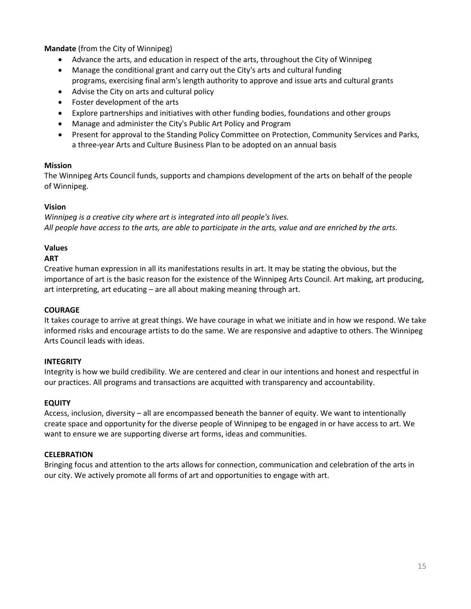**Mandate** (from the City of Winnipeg)

- Advance the arts, and education in respect of the arts, throughout the City of Winnipeg
- Manage the conditional grant and carry out the City's arts and cultural funding
- programs, exercising final arm's length authority to approve and issue arts and cultural grants
- Advise the City on arts and cultural policy
- Foster development of the arts
- Explore partnerships and initiatives with other funding bodies, foundations and other groups
- Manage and administer the City's Public Art Policy and Program
- Present for approval to the Standing Policy Committee on Protection, Community Services and Parks, a three-year Arts and Culture Business Plan to be adopted on an annual basis

## **Mission**

The Winnipeg Arts Council funds, supports and champions development of the arts on behalf of the people of Winnipeg.

## **Vision**

*Winnipeg is a creative city where art is integrated into all people's lives. All people have access to the arts, are able to participate in the arts, value and are enriched by the arts.*

## **Values**

# **ART**

Creative human expression in all its manifestations results in art. It may be stating the obvious, but the importance of art is the basic reason for the existence of the Winnipeg Arts Council. Art making, art producing, art interpreting, art educating – are all about making meaning through art.

## **COURAGE**

It takes courage to arrive at great things. We have courage in what we initiate and in how we respond. We take informed risks and encourage artists to do the same. We are responsive and adaptive to others. The Winnipeg Arts Council leads with ideas.

## **INTEGRITY**

Integrity is how we build credibility. We are centered and clear in our intentions and honest and respectful in our practices. All programs and transactions are acquitted with transparency and accountability.

## **EQUITY**

Access, inclusion, diversity – all are encompassed beneath the banner of equity. We want to intentionally create space and opportunity for the diverse people of Winnipeg to be engaged in or have access to art. We want to ensure we are supporting diverse art forms, ideas and communities.

## **CELEBRATION**

Bringing focus and attention to the arts allows for connection, communication and celebration of the arts in our city. We actively promote all forms of art and opportunities to engage with art.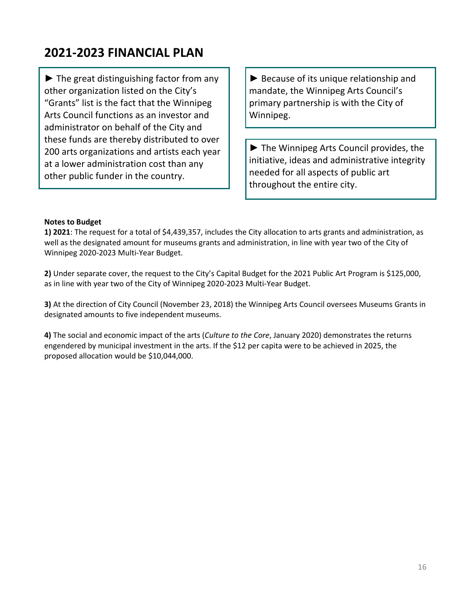# **2021-2023 FINANCIAL PLAN**

 $\blacktriangleright$  The great distinguishing factor from any other organization listed on the City's "Grants" list is the fact that the Winnipeg Arts Council functions as an investor and administrator on behalf of the City and these funds are thereby distributed to over 200 arts organizations and artists each year at a lower administration cost than any other public funder in the country.

► Because of its unique relationship and mandate, the Winnipeg Arts Council's primary partnership is with the City of Winnipeg.

► The Winnipeg Arts Council provides, the initiative, ideas and administrative integrity needed for all aspects of public art throughout the entire city.

### **Notes to Budget**

**1) 2021**: The request for a total of \$4,439,357, includes the City allocation to arts grants and administration, as well as the designated amount for museums grants and administration, in line with year two of the City of Winnipeg 2020-2023 Multi-Year Budget.

**2)** Under separate cover, the request to the City's Capital Budget for the 2021 Public Art Program is \$125,000, as in line with year two of the City of Winnipeg 2020-2023 Multi-Year Budget.

**3)** At the direction of City Council (November 23, 2018) the Winnipeg Arts Council oversees Museums Grants in designated amounts to five independent museums.

**4)** The social and economic impact of the arts (*Culture to the Core*, January 2020) demonstrates the returns engendered by municipal investment in the arts. If the \$12 per capita were to be achieved in 2025, the proposed allocation would be \$10,044,000.